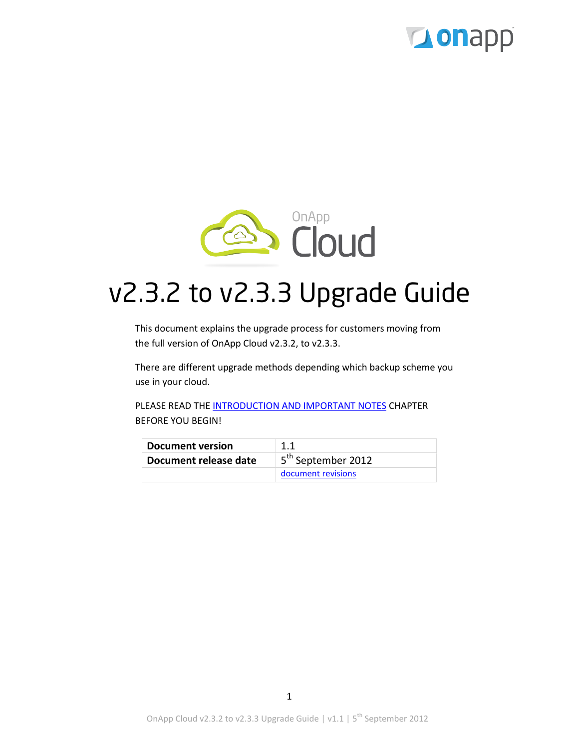



# v2.3.2 to v2.3.3 Upgrade Guide

This document explains the upgrade process for customers moving from the full version of OnApp Cloud v2.3.2, to v2.3.3.

There are different upgrade methods depending which backup scheme you use in your cloud.

PLEASE READ THE [INTRODUCTION AND IMPORTANT NOTES](#page-2-0) CHAPTER BEFORE YOU BEGIN!

| Document version      |                                |
|-----------------------|--------------------------------|
| Document release date | 5 <sup>th</sup> September 2012 |
|                       | document revisions             |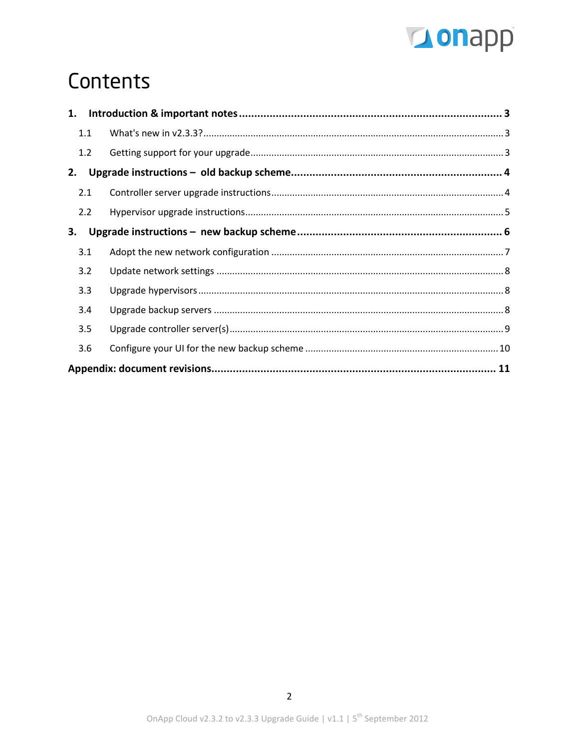

# Contents

| 1.  |  |  |
|-----|--|--|
| 1.1 |  |  |
| 1.2 |  |  |
| 2.  |  |  |
| 2.1 |  |  |
| 2.2 |  |  |
| 3.  |  |  |
| 3.1 |  |  |
| 3.2 |  |  |
| 3.3 |  |  |
| 3.4 |  |  |
| 3.5 |  |  |
| 3.6 |  |  |
|     |  |  |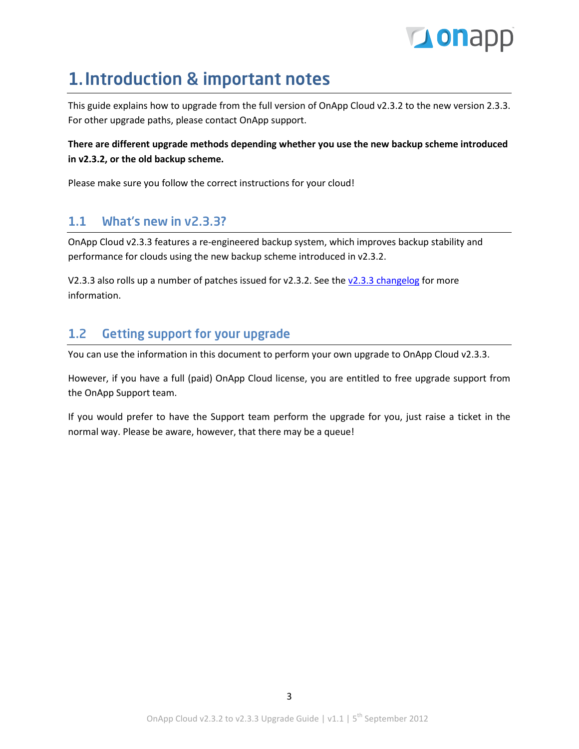

## <span id="page-2-0"></span>1.Introduction & important notes

This guide explains how to upgrade from the full version of OnApp Cloud v2.3.2 to the new version 2.3.3. For other upgrade paths, please contact OnApp support.

### **There are different upgrade methods depending whether you use the new backup scheme introduced in v2.3.2, or the old backup scheme.**

Please make sure you follow the correct instructions for your cloud!

## <span id="page-2-1"></span>1.1 What's new in v2.3.3?

OnApp Cloud v2.3.3 features a re-engineered backup system, which improves backup stability and performance for clouds using the new backup scheme introduced in v2.3.2.

V2.3.3 also rolls up a number of patches issued for v2.3.2. See the [v2.3.3 changelog](http://onapp.com/changelogs/log/onapp-cloud-2-3-3/) for more information.

## <span id="page-2-2"></span>1.2 Getting support for your upgrade

You can use the information in this document to perform your own upgrade to OnApp Cloud v2.3.3.

However, if you have a full (paid) OnApp Cloud license, you are entitled to free upgrade support from the OnApp Support team.

If you would prefer to have the Support team perform the upgrade for you, just raise a ticket in the normal way. Please be aware, however, that there may be a queue!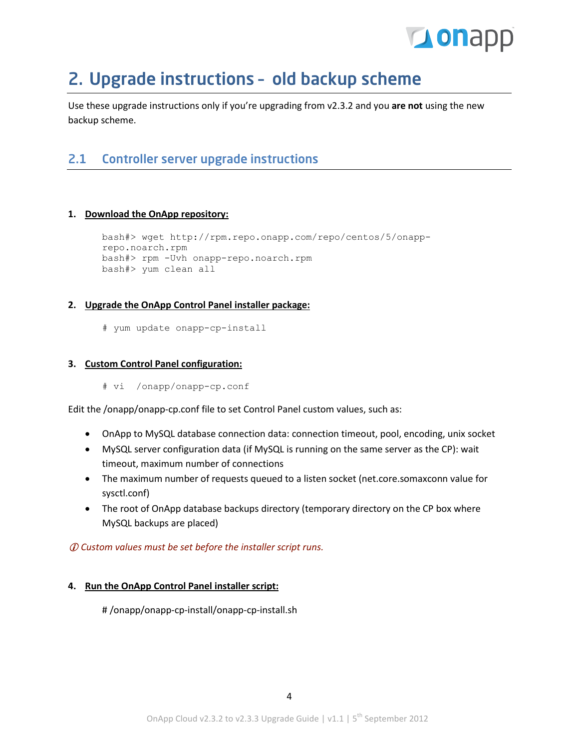

## <span id="page-3-0"></span>2. Upgrade instructions – old backup scheme

Use these upgrade instructions only if you're upgrading from v2.3.2 and you **are not** using the new backup scheme.

## <span id="page-3-1"></span>2.1 Controller server upgrade instructions

#### **1. Download the OnApp repository:**

```
bash#> wget http://rpm.repo.onapp.com/repo/centos/5/onapp-
repo.noarch.rpm
bash#> rpm -Uvh onapp-repo.noarch.rpm
bash#> yum clean all
```
#### **2. Upgrade the OnApp Control Panel installer package:**

# yum update onapp-cp-install

#### **3. Custom Control Panel configuration:**

# vi /onapp/onapp-cp.conf

Edit the /onapp/onapp-cp.conf file to set Control Panel custom values, such as:

- OnApp to MySQL database connection data: connection timeout, pool, encoding, unix socket
- MySQL server configuration data (if MySQL is running on the same server as the CP): wait timeout, maximum number of connections
- The maximum number of requests queued to a listen socket (net.core.somaxconn value for sysctl.conf)
- The root of OnApp database backups directory (temporary directory on the CP box where MySQL backups are placed)

*Custom values must be set before the installer script runs.*

#### **4. Run the OnApp Control Panel installer script:**

# /onapp/onapp-cp-install/onapp-cp-install.sh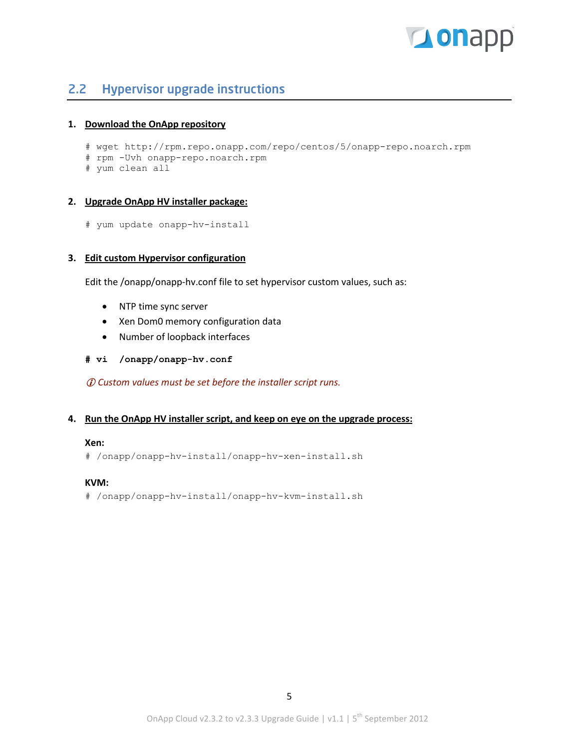

### <span id="page-4-0"></span>2.2 Hypervisor upgrade instructions

#### **1. Download the OnApp repository**

- # wget http://rpm.repo.onapp.com/repo/centos/5/onapp-repo.noarch.rpm
- # rpm -Uvh onapp-repo.noarch.rpm
- # yum clean all

#### **2. Upgrade OnApp HV installer package:**

# yum update onapp-hv-install

#### **3. Edit custom Hypervisor configuration**

Edit the /onapp/onapp-hv.conf file to set hypervisor custom values, such as:

- NTP time sync server
- Xen Dom0 memory configuration data
- Number of loopback interfaces
- **# vi /onapp/onapp-hv.conf**

*Custom values must be set before the installer script runs.*

#### **4. Run the OnApp HV installer script, and keep on eye on the upgrade process:**

#### **Xen:**

# /onapp/onapp-hv-install/onapp-hv-xen-install.sh

#### **KVM:**

# /onapp/onapp-hv-install/onapp-hv-kvm-install.sh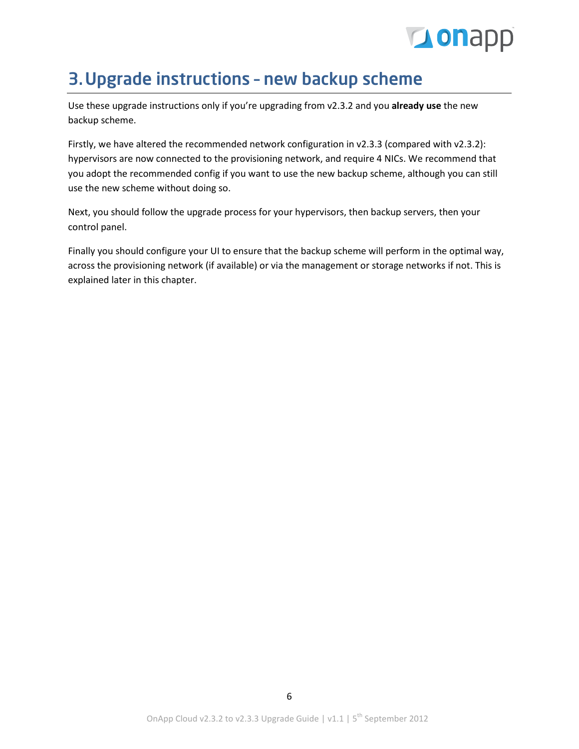

## <span id="page-5-0"></span>3.Upgrade instructions – new backup scheme

Use these upgrade instructions only if you're upgrading from v2.3.2 and you **already use** the new backup scheme.

Firstly, we have altered the recommended network configuration in v2.3.3 (compared with v2.3.2): hypervisors are now connected to the provisioning network, and require 4 NICs. We recommend that you adopt the recommended config if you want to use the new backup scheme, although you can still use the new scheme without doing so.

Next, you should follow the upgrade process for your hypervisors, then backup servers, then your control panel.

Finally you should configure your UI to ensure that the backup scheme will perform in the optimal way, across the provisioning network (if available) or via the management or storage networks if not. This is explained later in this chapter.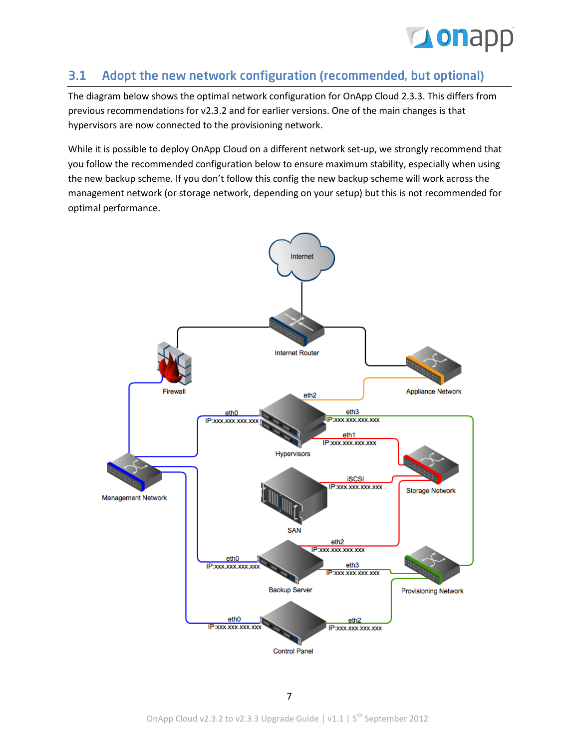

### <span id="page-6-0"></span>3.1 Adopt the new network configuration (recommended, but optional)

The diagram below shows the optimal network configuration for OnApp Cloud 2.3.3. This differs from previous recommendations for v2.3.2 and for earlier versions. One of the main changes is that hypervisors are now connected to the provisioning network.

While it is possible to deploy OnApp Cloud on a different network set-up, we strongly recommend that you follow the recommended configuration below to ensure maximum stability, especially when using the new backup scheme. If you don't follow this config the new backup scheme will work across the management network (or storage network, depending on your setup) but this is not recommended for optimal performance.

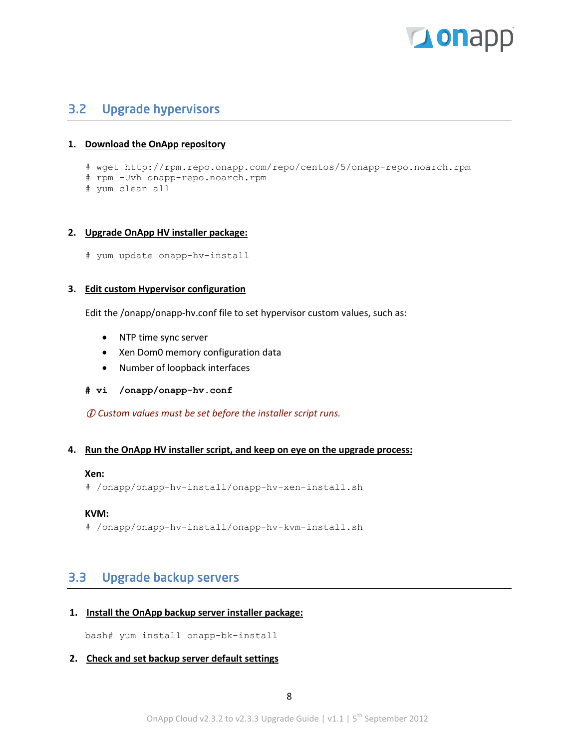

### <span id="page-7-1"></span><span id="page-7-0"></span>3.2 Upgrade hypervisors

#### **1. Download the OnApp repository**

- # wget http://rpm.repo.onapp.com/repo/centos/5/onapp-repo.noarch.rpm
- # rpm -Uvh onapp-repo.noarch.rpm
- # yum clean all

#### **2. Upgrade OnApp HV installer package:**

```
# yum update onapp-hv-install
```
#### **3. Edit custom Hypervisor configuration**

Edit the /onapp/onapp-hv.conf file to set hypervisor custom values, such as:

- NTP time sync server
- Xen Dom0 memory configuration data
- Number of loopback interfaces
- **# vi /onapp/onapp-hv.conf**

*Custom values must be set before the installer script runs.*

#### **4. Run the OnApp HV installer script, and keep on eye on the upgrade process:**

#### **Xen:**

```
# /onapp/onapp-hv-install/onapp-hv-xen-install.sh
```
#### **KVM:**

# /onapp/onapp-hv-install/onapp-hv-kvm-install.sh

### <span id="page-7-2"></span>3.3 Upgrade backup servers

#### **1. Install the OnApp backup server installer package:**

bash# yum install onapp-bk-install

#### **2. Check and set backup server default settings**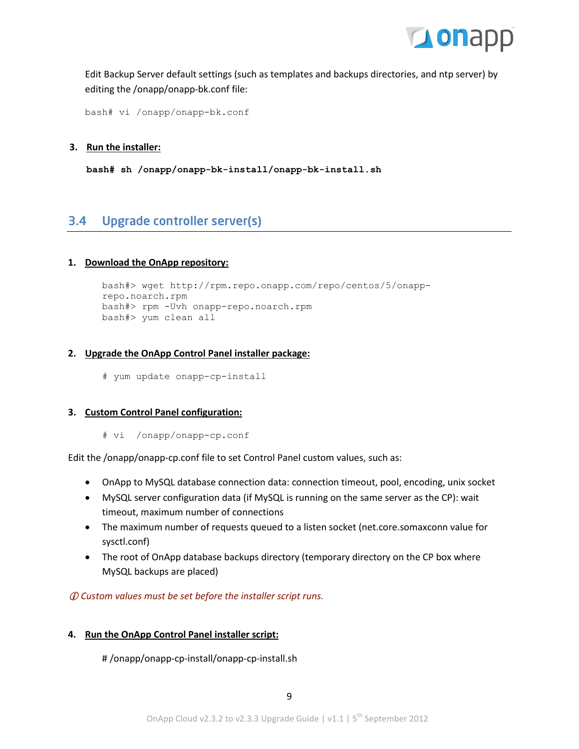

Edit Backup Server default settings (such as templates and backups directories, and ntp server) by editing the /onapp/onapp-bk.conf file:

bash# vi /onapp/onapp-bk.conf

#### **3. Run the installer:**

**bash# sh /onapp/onapp-bk-install/onapp-bk-install.sh**

### <span id="page-8-0"></span>3.4 Upgrade controller server(s)

#### **1. Download the OnApp repository:**

```
bash#> wget http://rpm.repo.onapp.com/repo/centos/5/onapp-
repo.noarch.rpm
bash#> rpm -Uvh onapp-repo.noarch.rpm
bash#> yum clean all
```
#### **2. Upgrade the OnApp Control Panel installer package:**

# yum update onapp-cp-install

#### **3. Custom Control Panel configuration:**

# vi /onapp/onapp-cp.conf

Edit the /onapp/onapp-cp.conf file to set Control Panel custom values, such as:

- OnApp to MySQL database connection data: connection timeout, pool, encoding, unix socket
- MySQL server configuration data (if MySQL is running on the same server as the CP): wait timeout, maximum number of connections
- The maximum number of requests queued to a listen socket (net.core.somaxconn value for sysctl.conf)
- The root of OnApp database backups directory (temporary directory on the CP box where MySQL backups are placed)

*Custom values must be set before the installer script runs.*

#### **4. Run the OnApp Control Panel installer script:**

# /onapp/onapp-cp-install/onapp-cp-install.sh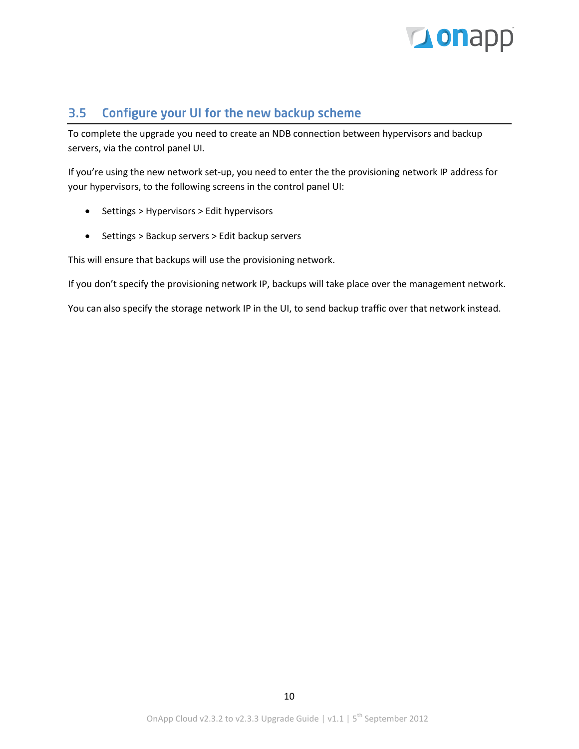

## <span id="page-9-0"></span>3.5 Configure your UI for the new backup scheme

To complete the upgrade you need to create an NDB connection between hypervisors and backup servers, via the control panel UI.

If you're using the new network set-up, you need to enter the the provisioning network IP address for your hypervisors, to the following screens in the control panel UI:

- Settings > Hypervisors > Edit hypervisors
- Settings > Backup servers > Edit backup servers

This will ensure that backups will use the provisioning network.

If you don't specify the provisioning network IP, backups will take place over the management network.

You can also specify the storage network IP in the UI, to send backup traffic over that network instead.